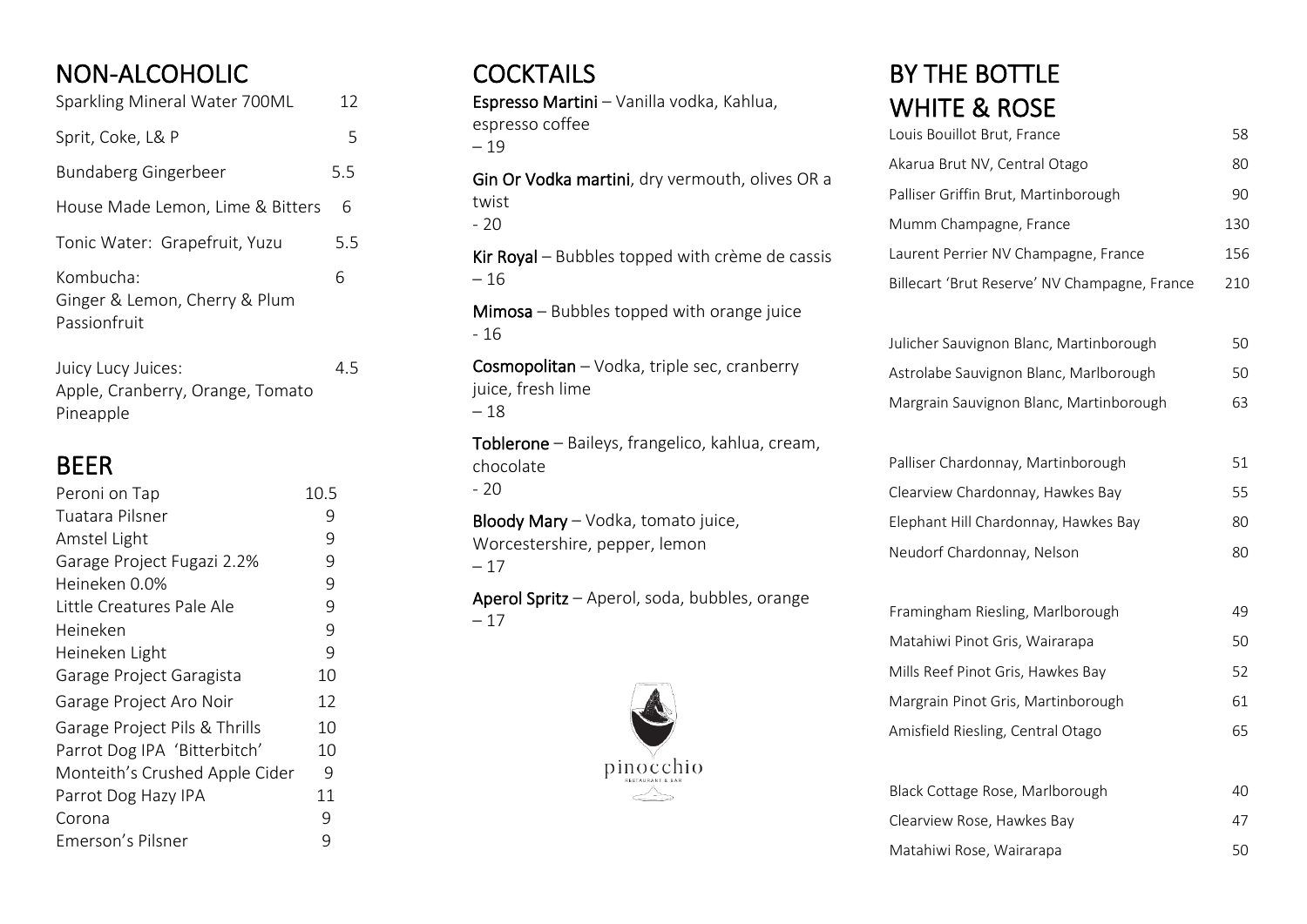# NON-ALCOHOLIC

| Sparkling Mineral Water 700ML                              | 12  |  |
|------------------------------------------------------------|-----|--|
| Sprit, Coke, L& P                                          | 5   |  |
| Bundaberg Gingerbeer                                       | 5.5 |  |
| House Made Lemon, Lime & Bitters                           | 6   |  |
| Tonic Water: Grapefruit, Yuzu                              | 5.5 |  |
| Kombucha:<br>Ginger & Lemon, Cherry & Plum<br>Passionfruit | 6   |  |

Juicy Lucy Juices: 4.5 Apple, Cranberry, Orange, Tomato Pineapple

#### BEER

| Peroni on Tap                  | 10.5 |
|--------------------------------|------|
| Tuatara Pilsner                | 9    |
| Amstel Light                   | 9    |
| Garage Project Fugazi 2.2%     | 9    |
| Heineken 0.0%                  | 9    |
| Little Creatures Pale Ale      | 9    |
| Heineken                       | 9    |
| Heineken Light                 | 9    |
| Garage Project Garagista       | 10   |
| Garage Project Aro Noir        | 12   |
| Garage Project Pils & Thrills  | 10   |
| Parrot Dog IPA 'Bitterbitch'   | 10   |
| Monteith's Crushed Apple Cider | 9    |
| Parrot Dog Hazy IPA            | 11   |
| Corona                         | 9    |
| Emerson's Pilsner              | 9    |

### **COCKTAILS**

Espresso Martini – Vanilla vodka, Kahlua, espresso coffee – 19

Gin Or Vodka martini, dry vermouth, olives OR a twist - 20

Kir Royal – Bubbles topped with crème de cassis – 16

Mimosa – Bubbles topped with orange juice - 16

Cosmopolitan – Vodka, triple sec, cranberry juice, fresh lime – 18

Toblerone – Baileys, frangelico, kahlua, cream, chocolate  $-20$ 

Bloody Mary – Vodka, tomato juice, Worcestershire, pepper, lemon  $-17$ 

Aperol Spritz – Aperol, soda, bubbles, orange – 17



### BY THE BOTTLE WHITE **Q. DOCE**

| VV ΠΙΙ E & NUJE                               |     |
|-----------------------------------------------|-----|
| Louis Bouillot Brut, France                   | 58  |
| Akarua Brut NV, Central Otago                 | 80  |
| Palliser Griffin Brut, Martinborough          | 90  |
| Mumm Champagne, France                        | 130 |
| Laurent Perrier NV Champagne, France          | 156 |
| Billecart 'Brut Reserve' NV Champagne, France | 210 |
|                                               |     |
| Julicher Sauvignon Blanc, Martinborough       | 50  |
| Astrolabe Sauvignon Blanc, Marlborough        | 50  |
| Margrain Sauvignon Blanc, Martinborough       | 63  |
|                                               |     |
| Palliser Chardonnay, Martinborough            | 51  |
| Clearview Chardonnay, Hawkes Bay              | 55  |
| Elephant Hill Chardonnay, Hawkes Bay          | 80  |
| Neudorf Chardonnay, Nelson                    | 80  |
|                                               |     |
| Framingham Riesling, Marlborough              | 49  |
| Matahiwi Pinot Gris, Wairarapa                | 50  |
| Mills Reef Pinot Gris, Hawkes Bay             | 52  |
| Margrain Pinot Gris, Martinborough            | 61  |
| Amisfield Riesling, Central Otago             | 65  |
|                                               |     |
| Black Cottage Rose, Marlborough               | 40  |
| Clearview Rose, Hawkes Bay                    | 47  |
| Matahiwi Rose, Wairarapa                      | 50  |
|                                               |     |